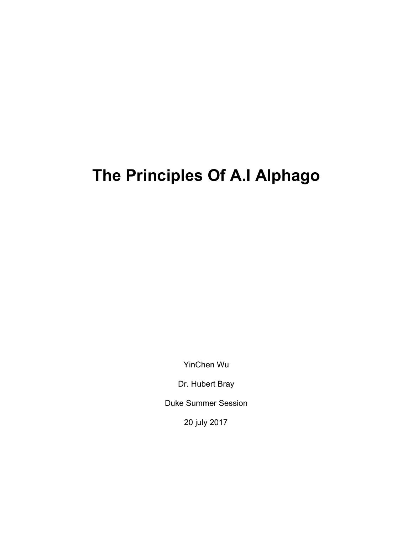# **The Principles Of A.I Alphago**

YinChen Wu

Dr. Hubert Bray

Duke Summer Session

20 july 2017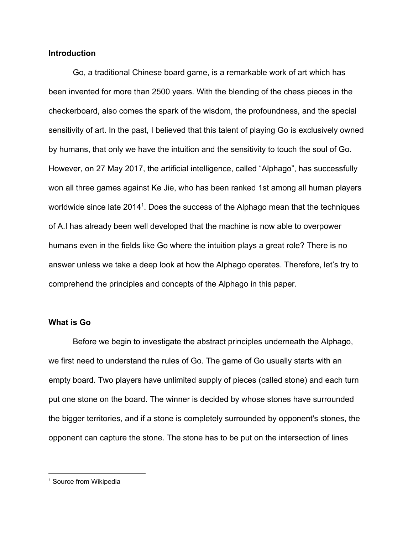#### **Introduction**

Go, a traditional Chinese board game, is a remarkable work of art which has been invented for more than 2500 years. With the blending of the chess pieces in the checkerboard, also comes the spark of the wisdom, the profoundness, and the special sensitivity of art. In the past, I believed that this talent of playing Go is exclusively owned by humans, that only we have the intuition and the sensitivity to touch the soul of Go. However, on 27 May 2017, the artificial intelligence, called "Alphago", has successfully won all three games against Ke Jie, who has been ranked 1st among all human players worldwide since late 2014<sup>1</sup>. Does the success of the Alphago mean that the techniques of A.I has already been well developed that the machine is now able to overpower humans even in the fields like Go where the intuition plays a great role? There is no answer unless we take a deep look at how the Alphago operates. Therefore, let's try to comprehend the principles and concepts of the Alphago in this paper.

#### **What is Go**

Before we begin to investigate the abstract principles underneath the Alphago, we first need to understand the rules of Go. The game of Go usually starts with an empty board. Two players have unlimited supply of pieces (called stone) and each turn put one stone on the board. The winner is decided by whose stones have surrounded the bigger territories, and if a stone is completely surrounded by opponent's stones, the opponent can capture the stone. The stone has to be put on the intersection of lines

<sup>&</sup>lt;sup>1</sup> Source from Wikipedia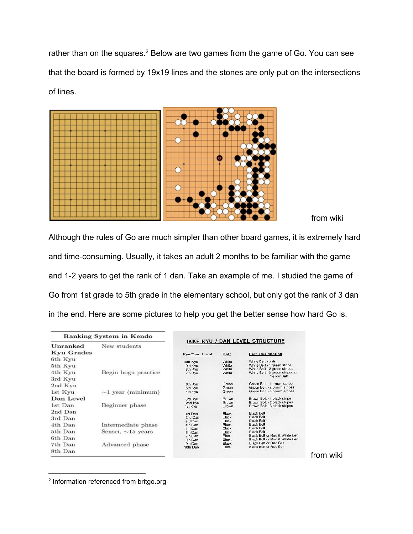rather than on the squares.<sup>2</sup> Below are two games from the game of Go. You can see that the board is formed by 19x19 lines and the stones are only put on the intersections of lines.



from wiki

Although the rules of Go are much simpler than other board games, it is extremely hard and time-consuming. Usually, it takes an adult 2 months to be familiar with the game and 1-2 years to get the rank of 1 dan. Take an example of me. I studied the game of Go from 1st grade to 5th grade in the elementary school, but only got the rank of 3 dan in the end. Here are some pictures to help you get the better sense how hard Go is.

| Ranking System in Kendo |                         |                    |                |                                        |           |
|-------------------------|-------------------------|--------------------|----------------|----------------------------------------|-----------|
| Unranked                | New students            |                    |                | IKKF KYU / DAN LEVEL STRUCTURE         |           |
| <b>Kyu Grades</b>       |                         | Kyu/Dan Level      | Belt           | <b>Belt Designation</b>                |           |
| 6th Kyu                 |                         | 10th Kvu           | White          | White Belt - plain                     |           |
| 5th Kyu                 |                         | 9th Kvu            | White          | White Belt - 1 green stripe            |           |
|                         |                         | 8th Kyu            | White          | White Belt - 2 green stripes           |           |
| 4th Kyu                 | Begin bogu practice     | 7th Kyu            | White          | White Belt - 3 green stripes or        |           |
| 3rd Kyu                 |                         |                    |                | Yellow Belt                            |           |
| 2nd Kyu                 |                         | 6th Kyu            | Green          | Green Belt - 1 brown stripe            |           |
|                         |                         | 5th Kyu            | Green          | Green Belt - 2 brown stripes           |           |
| 1st Kyu                 | $\sim$ 1 year (minimum) | 4th Kyu            | Green          | Green Belt - 3 brown stripes           |           |
| Dan Level               |                         | 3rd Kyu            | Brown          | Brown Belt - 1 black stripe            |           |
| 1st Dan                 |                         | 2nd Kyu            | <b>Brown</b>   | Brown Belt - 2 black stripes           |           |
|                         | Beginner phase          | 1st Kyu            | Brown          | Brown Belt - 3 black stripes           |           |
| 2nd Dan                 |                         | 1st Dan            | Black          | <b>Black Belt</b>                      |           |
| 3rd Dan                 |                         | 2nd Dan            | <b>Black</b>   | <b>Black Belt</b>                      |           |
|                         |                         | 3rd Dan            | Black          | <b>Black Belt</b>                      |           |
| 4th Dan                 | Intermediate phase      | 4th Dan            | Black<br>Black | <b>Black Belt</b><br><b>Black Belt</b> |           |
| 5th Dan                 | Sensei, $\sim$ 15 years | 5th Dan<br>6th Dan | Black          | <b>Black Belt</b>                      |           |
|                         |                         | 7th Dan            | Black          | Black Belt or Red & White Belt         |           |
| 6th Dan                 |                         | 8th Dan            | Black          | Black Belt or Red & White Belt         |           |
| 7th Dan                 | Advanced phase          | 9th Dan            | Black          | Black Belt or Red Belt                 |           |
|                         |                         | 10th Dan           | Black          | Black Belt or Red Belt                 |           |
| 8th Dan                 |                         |                    |                |                                        | from wiki |

<sup>2</sup> Information referenced from britgo.org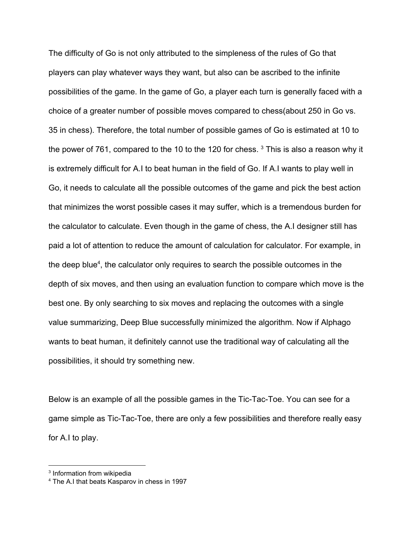The difficulty of Go is not only attributed to the simpleness of the rules of Go that players can play whatever ways they want, but also can be ascribed to the infinite possibilities of the game. In the game of Go, a player each turn is generally faced with a choice of a greater number of possible moves compared to chess(about 250 in Go vs. 35 in chess). Therefore, the total number of possible games of Go is estimated at 10 to the power of 761, compared to the 10 to the 120 for chess.  $3$  This is also a reason why it is extremely difficult for A.I to beat human in the field of Go. If A.I wants to play well in Go, it needs to calculate all the possible outcomes of the game and pick the best action that minimizes the worst possible cases it may suffer, which is a tremendous burden for the calculator to calculate. Even though in the game of chess, the A.I designer still has paid a lot of attention to reduce the amount of calculation for calculator. For example, in the deep blue<sup>4</sup>, the calculator only requires to search the possible outcomes in the depth of six moves, and then using an evaluation function to compare which move is the best one. By only searching to six moves and replacing the outcomes with a single value summarizing, Deep Blue successfully minimized the algorithm. Now if Alphago wants to beat human, it definitely cannot use the traditional way of calculating all the possibilities, it should try something new.

Below is an example of all the possible games in the Tic-Tac-Toe. You can see for a game simple as Tic-Tac-Toe, there are only a few possibilities and therefore really easy for A.I to play.

<sup>3</sup> Information from wikipedia

<sup>4</sup> The A.I that beats Kasparov in chess in 1997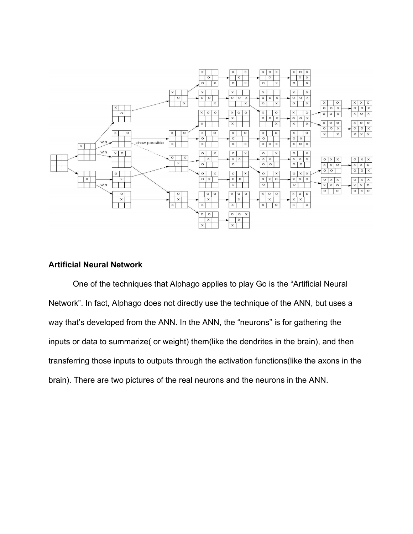

# **Artificial Neural Network**

One of the techniques that Alphago applies to play Go is the "Artificial Neural Network". In fact, Alphago does not directly use the technique of the ANN, but uses a way that's developed from the ANN. In the ANN, the "neurons" is for gathering the inputs or data to summarize( or weight) them(like the dendrites in the brain), and then transferring those inputs to outputs through the activation functions(like the axons in the brain). There are two pictures of the real neurons and the neurons in the ANN.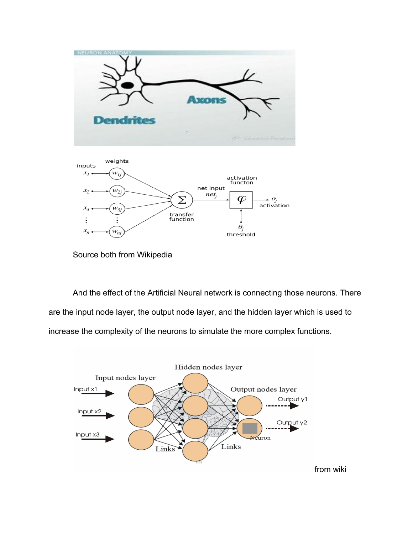



Source both from Wikipedia

And the effect of the Artificial Neural network is connecting those neurons. There are the input node layer, the output node layer, and the hidden layer which is used to increase the complexity of the neurons to simulate the more complex functions.

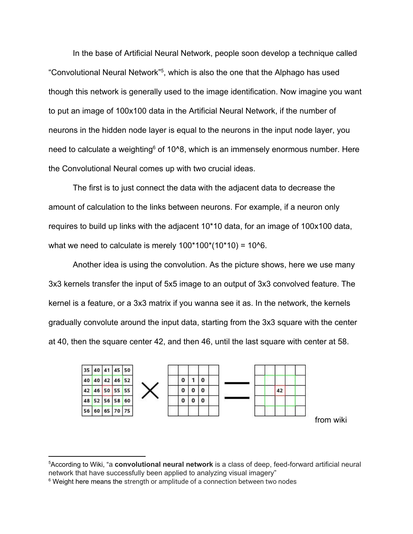In the base of Artificial Neural Network, people soon develop a technique called "Convolutional Neural Network"<sup>5</sup>, which is also the one that the Alphago has used though this network is generally used to the image identification. Now imagine you want to put an image of 100x100 data in the Artificial Neural Network, if the number of neurons in the hidden node layer is equal to the neurons in the input node layer, you need to calculate a weighting<sup> $6$ </sup> of 10^8, which is an immensely enormous number. Here the Convolutional Neural comes up with two crucial ideas.

The first is to just connect the data with the adjacent data to decrease the amount of calculation to the links between neurons. For example, if a neuron only requires to build up links with the adjacent 10\*10 data, for an image of 100x100 data, what we need to calculate is merely  $100*100*(10*10) = 10<sup>0</sup>6$ .

Another idea is using the convolution. As the picture shows, here we use many 3x3 kernels transfer the input of 5x5 image to an output of 3x3 convolved feature. The kernel is a feature, or a 3x3 matrix if you wanna see it as. In the network, the kernels gradually convolute around the input data, starting from the 3x3 square with the center at 40, then the square center 42, and then 46, until the last square with center at 58.



<sup>5</sup>According to Wiki, "a **convolutional neural network** is a class of deep, feed-forward artificial neural network that have successfully been applied to analyzing visual imagery"

<sup>&</sup>lt;sup>6</sup> Weight here means the strength or amplitude of a connection between two nodes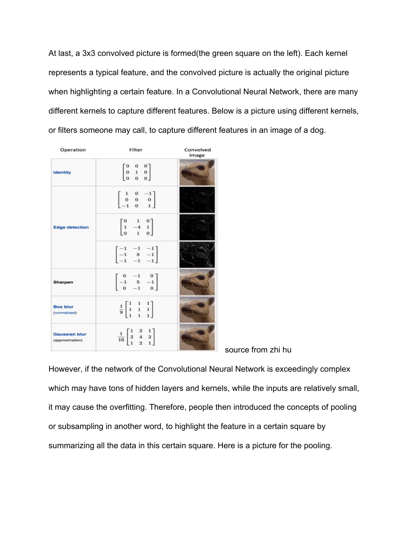At last, a 3x3 convolved picture is formed(the green square on the left). Each kernel represents a typical feature, and the convolved picture is actually the original picture when highlighting a certain feature. In a Convolutional Neural Network, there are many different kernels to capture different features. Below is a picture using different kernels, or filters someone may call, to capture different features in an image of a dog.



source from zhi hu

However, if the network of the Convolutional Neural Network is exceedingly complex which may have tons of hidden layers and kernels, while the inputs are relatively small, it may cause the overfitting. Therefore, people then introduced the concepts of pooling or subsampling in another word, to highlight the feature in a certain square by summarizing all the data in this certain square. Here is a picture for the pooling.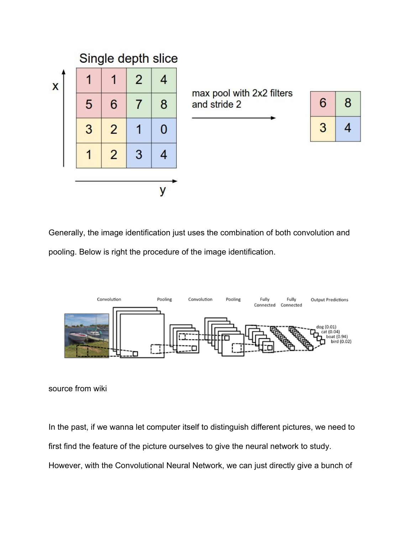





Generally, the image identification just uses the combination of both convolution and pooling. Below is right the procedure of the image identification.



source from wiki

In the past, if we wanna let computer itself to distinguish different pictures, we need to first find the feature of the picture ourselves to give the neural network to study. However, with the Convolutional Neural Network, we can just directly give a bunch of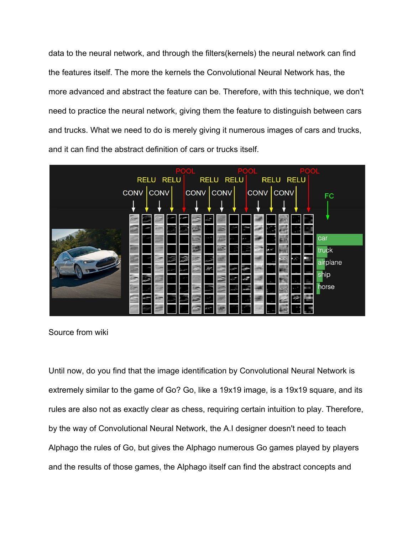data to the neural network, and through the filters(kernels) the neural network can find the features itself. The more the kernels the Convolutional Neural Network has, the more advanced and abstract the feature can be. Therefore, with this technique, we don't need to practice the neural network, giving them the feature to distinguish between cars and trucks. What we need to do is merely giving it numerous images of cars and trucks, and it can find the abstract definition of cars or trucks itself.



Source from wiki

Until now, do you find that the image identification by Convolutional Neural Network is extremely similar to the game of Go? Go, like a 19x19 image, is a 19x19 square, and its rules are also not as exactly clear as chess, requiring certain intuition to play. Therefore, by the way of Convolutional Neural Network, the A.I designer doesn't need to teach Alphago the rules of Go, but gives the Alphago numerous Go games played by players and the results of those games, the Alphago itself can find the abstract concepts and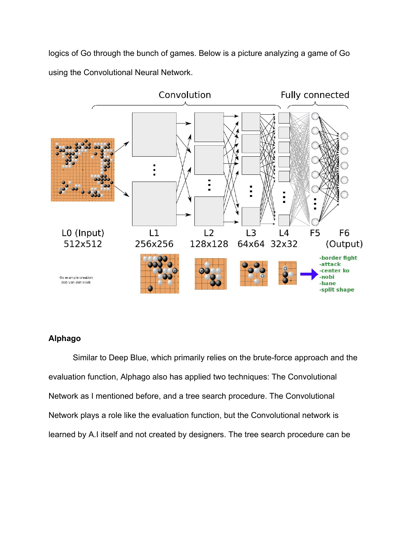logics of Go through the bunch of games. Below is a picture analyzing a game of Go using the Convolutional Neural Network.



### **Alphago**

Similar to Deep Blue, which primarily relies on the brute-force approach and the evaluation function, Alphago also has applied two techniques: The Convolutional Network as I mentioned before, and a tree search procedure. The Convolutional Network plays a role like the evaluation function, but the Convolutional network is learned by A.I itself and not created by designers. The tree search procedure can be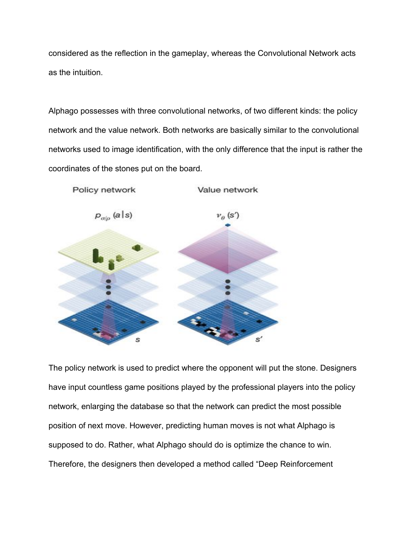considered as the reflection in the gameplay, whereas the Convolutional Network acts as the intuition.

Alphago possesses with three convolutional networks, of two different kinds: the policy network and the value network. Both networks are basically similar to the convolutional networks used to image identification, with the only difference that the input is rather the coordinates of the stones put on the board.



The policy network is used to predict where the opponent will put the stone. Designers have input countless game positions played by the professional players into the policy network, enlarging the database so that the network can predict the most possible position of next move. However, predicting human moves is not what Alphago is supposed to do. Rather, what Alphago should do is optimize the chance to win. Therefore, the designers then developed a method called "Deep Reinforcement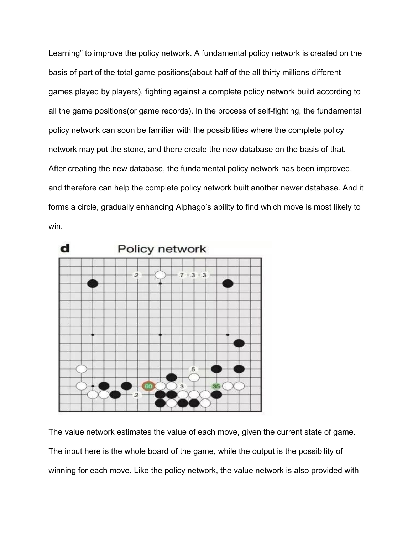Learning" to improve the policy network. A fundamental policy network is created on the basis of part of the total game positions(about half of the all thirty millions different games played by players), fighting against a complete policy network build according to all the game positions(or game records). In the process of self-fighting, the fundamental policy network can soon be familiar with the possibilities where the complete policy network may put the stone, and there create the new database on the basis of that. After creating the new database, the fundamental policy network has been improved, and therefore can help the complete policy network built another newer database. And it forms a circle, gradually enhancing Alphago's ability to find which move is most likely to win.



The value network estimates the value of each move, given the current state of game. The input here is the whole board of the game, while the output is the possibility of winning for each move. Like the policy network, the value network is also provided with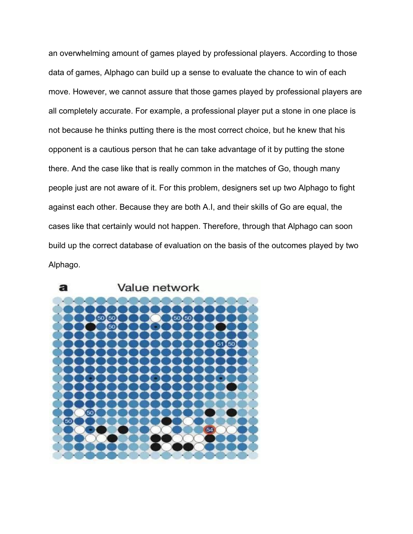an overwhelming amount of games played by professional players. According to those data of games, Alphago can build up a sense to evaluate the chance to win of each move. However, we cannot assure that those games played by professional players are all completely accurate. For example, a professional player put a stone in one place is not because he thinks putting there is the most correct choice, but he knew that his opponent is a cautious person that he can take advantage of it by putting the stone there. And the case like that is really common in the matches of Go, though many people just are not aware of it. For this problem, designers set up two Alphago to fight against each other. Because they are both A.I, and their skills of Go are equal, the cases like that certainly would not happen. Therefore, through that Alphago can soon build up the correct database of evaluation on the basis of the outcomes played by two Alphago.



Value network

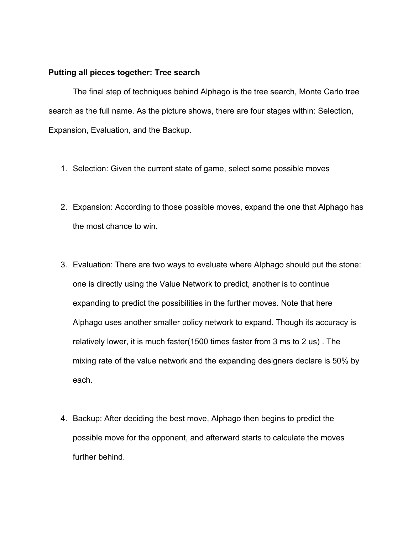#### **Putting all pieces together: Tree search**

The final step of techniques behind Alphago is the tree search, Monte Carlo tree search as the full name. As the picture shows, there are four stages within: Selection, Expansion, Evaluation, and the Backup.

- 1. Selection: Given the current state of game, select some possible moves
- 2. Expansion: According to those possible moves, expand the one that Alphago has the most chance to win.
- 3. Evaluation: There are two ways to evaluate where Alphago should put the stone: one is directly using the Value Network to predict, another is to continue expanding to predict the possibilities in the further moves. Note that here Alphago uses another smaller policy network to expand. Though its accuracy is relatively lower, it is much faster(1500 times faster from 3 ms to 2 us) . The mixing rate of the value network and the expanding designers declare is 50% by each.
- 4. Backup: After deciding the best move, Alphago then begins to predict the possible move for the opponent, and afterward starts to calculate the moves further behind.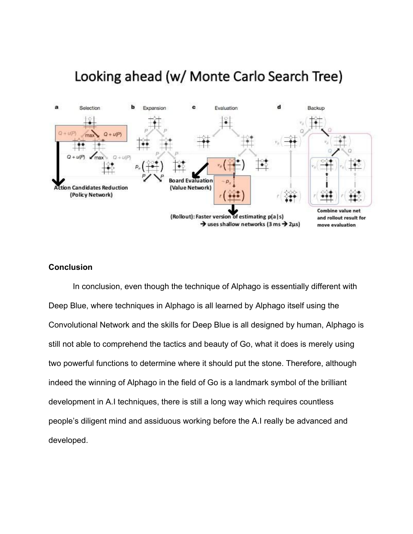

## **Conclusion**

In conclusion, even though the technique of Alphago is essentially different with Deep Blue, where techniques in Alphago is all learned by Alphago itself using the Convolutional Network and the skills for Deep Blue is all designed by human, Alphago is still not able to comprehend the tactics and beauty of Go, what it does is merely using two powerful functions to determine where it should put the stone. Therefore, although indeed the winning of Alphago in the field of Go is a landmark symbol of the brilliant development in A.I techniques, there is still a long way which requires countless people's diligent mind and assiduous working before the A.I really be advanced and developed.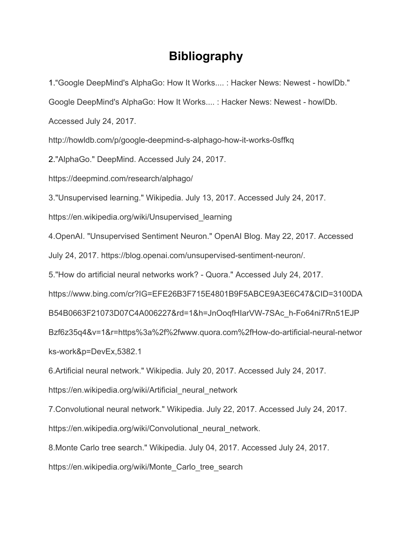# **Bibliography**

1."Google DeepMind's AlphaGo: How It Works.... : Hacker News: Newest - howlDb." Google DeepMind's AlphaGo: How It Works.... : Hacker News: Newest - howlDb. Accessed July 24, 2017. http://howldb.com/p/google-deepmind-s-alphago-how-it-works-0sffkq 2."AlphaGo." DeepMind. Accessed July 24, 2017. https://deepmind.com/research/alphago/ 3."Unsupervised learning." Wikipedia. July 13, 2017. Accessed July 24, 2017. https://en.wikipedia.org/wiki/Unsupervised\_learning 4.OpenAI. "Unsupervised Sentiment Neuron." OpenAI Blog. May 22, 2017. Accessed July 24, 2017. https://blog.openai.com/unsupervised-sentiment-neuron/. 5."How do artificial neural networks work? - Quora." Accessed July 24, 2017. https://www.bing.com/cr?IG=EFE26B3F715E4801B9F5ABCE9A3E6C47&CID=3100DA B54B0663F21073D07C4A006227&rd=1&h=JnOoqfHIarVW-7SAc\_h-Fo64ni7Rn51EJP Bzf6z35q4&v=1&r=https%3a%2f%2fwww.quora.com%2fHow-do-artificial-neural-networ ks-work&p=DevEx,5382.1 6.Artificial neural network." Wikipedia. July 20, 2017. Accessed July 24, 2017. https://en.wikipedia.org/wiki/Artificial\_neural\_network 7.Convolutional neural network." Wikipedia. July 22, 2017. Accessed July 24, 2017. https://en.wikipedia.org/wiki/Convolutional\_neural\_network. 8.Monte Carlo tree search." Wikipedia. July 04, 2017. Accessed July 24, 2017. https://en.wikipedia.org/wiki/Monte Carlo tree search